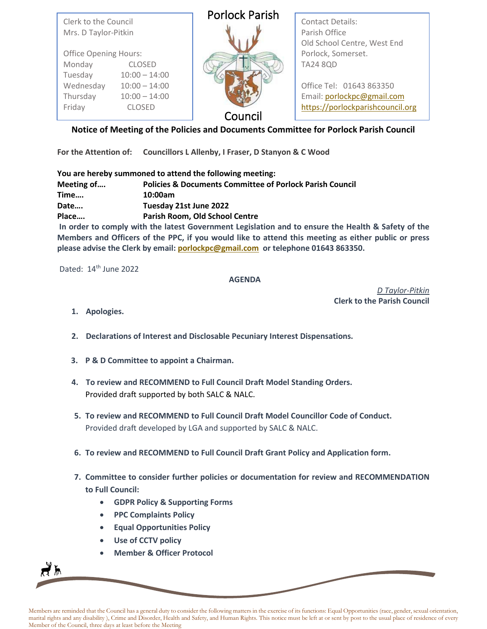| <b>Porlock Parish</b><br>Contact Details:<br>Clerk to the Council<br>Parish Office<br>Mrs. D Taylor-Pitkin<br>Old School Centre, West End |  |
|-------------------------------------------------------------------------------------------------------------------------------------------|--|
| Porlock, Somerset.<br><b>Office Opening Hours:</b>                                                                                        |  |
| <b>TA24 8QD</b><br>Monday<br><b>CLOSED</b>                                                                                                |  |
| Tuesday<br>$10:00 - 14:00$                                                                                                                |  |
| Wednesday<br>Office Tel: 01643 863350<br>$10:00 - 14:00$                                                                                  |  |
| Thursday<br>Email: porlockpc@gmail.com<br>$10:00 - 14:00$                                                                                 |  |
| https://porlockparishcouncil.org<br>Friday<br><b>CLOSED</b>                                                                               |  |
| Council                                                                                                                                   |  |

**Notice of Meeting of the Policies and Documents Committee for Porlock Parish Council**

**For the Attention of: Councillors L Allenby, I Fraser, D Stanyon & C Wood**

**You are hereby summoned to attend the following meeting: Meeting of…. Policies & Documents Committee of Porlock Parish Council Time…. 10:00am Date…. Tuesday 21st June 2022 Place…. Parish Room, Old School Centre**

**In order to comply with the latest Government Legislation and to ensure the Health & Safety of the Members and Officers of the PPC, if you would like to attend this meeting as either public or press please advise the Clerk by email[: porlockpc@gmail.com](mailto:porlockpc@gmail.com) or telephone 01643 863350.**

Dated: 14<sup>th</sup> June 2022

## **AGENDA**

*D Taylor-Pitkin*  **Clerk to the Parish Council**

**1. Apologies.**

**2. Declarations of Interest and Disclosable Pecuniary Interest Dispensations.**

- **3. P & D Committee to appoint a Chairman.**
- **4. To review and RECOMMEND to Full Council Draft Model Standing Orders.** Provided draft supported by both SALC & NALC.
- **5. To review and RECOMMEND to Full Council Draft Model Councillor Code of Conduct.** Provided draft developed by LGA and supported by SALC & NALC.
- **6. To review and RECOMMEND to Full Council Draft Grant Policy and Application form.**
- **7. Committee to consider further policies or documentation for review and RECOMMENDATION to Full Council:**
	- **GDPR Policy & Supporting Forms**
	- **PPC Complaints Policy**
	- **Equal Opportunities Policy**
	- **Use of CCTV policy**

∤እ

• **Member & Officer Protocol**

Members are reminded that the Council has a general duty to consider the following matters in the exercise of its functions: Equal Opportunities (race, gender, sexual orientation, marital rights and any disability ), Crime and Disorder, Health and Safety, and Human Rights. This notice must be left at or sent by post to the usual place of residence of every Member of the Council, three days at least before the Meeting